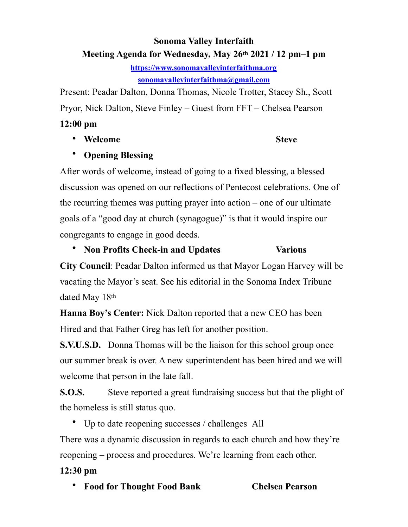# **Sonoma Valley Interfaith Meeting Agenda for Wednesday, May 26th 2021 / 12 pm–1 pm**

**<https://www.sonomavalleyinterfaithma.org> [sonomavalleyinterfaithma@gmail.com](mailto:sonomavalleyinterfaithma@gmail.com)**

Present: Peadar Dalton, Donna Thomas, Nicole Trotter, Stacey Sh., Scott Pryor, Nick Dalton, Steve Finley – Guest from FFT – Chelsea Pearson

#### **12:00 pm**

• Welcome **Steve Steve** 

# • **Opening Blessing**

After words of welcome, instead of going to a fixed blessing, a blessed discussion was opened on our reflections of Pentecost celebrations. One of the recurring themes was putting prayer into action – one of our ultimate goals of a "good day at church (synagogue)" is that it would inspire our congregants to engage in good deeds.

• **Non Profits Check-in and Updates Various** 

**City Council**: Peadar Dalton informed us that Mayor Logan Harvey will be vacating the Mayor's seat. See his editorial in the Sonoma Index Tribune dated May 18th

**Hanna Boy's Center:** Nick Dalton reported that a new CEO has been Hired and that Father Greg has left for another position.

**S.V.U.S.D.** Donna Thomas will be the liaison for this school group once our summer break is over. A new superintendent has been hired and we will welcome that person in the late fall.

**S.O.S.** Steve reported a great fundraising success but that the plight of the homeless is still status quo.

• Up to date reopening successes / challenges All

There was a dynamic discussion in regards to each church and how they're reopening – process and procedures. We're learning from each other.

# **12:30 pm**

• **Food for Thought Food Bank Chelsea Pearson**